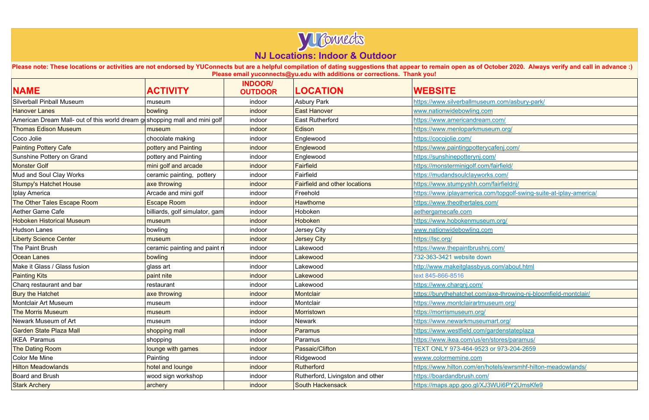

Please note: These locations or activities are not endorsed by YUConnects but are a helpful compilation of dating suggestions that appear to remain open as of October 2020. Always verify and call in advance :) **Please email yuconnects@yu.edu with additions or corrections. Thank you!**

| <b>NAME</b>                                                                 | <b>ACTIVITY</b>                | <b>INDOOR/</b><br><b>OUTDOOR</b> | <b>LOCATION</b>                      | <b>WEBSITE</b>                         |
|-----------------------------------------------------------------------------|--------------------------------|----------------------------------|--------------------------------------|----------------------------------------|
| <b>Silverball Pinball Museum</b>                                            | museum                         | indoor                           | <b>Asbury Park</b>                   | https://www.silverballmuseum.com/asb   |
| <b>Hanover Lanes</b>                                                        | bowling                        | indoor                           | <b>East Hanover</b>                  | www.nationwidebowling.com              |
| American Dream Mall- out of this world dream go shopping mall and mini golf |                                | indoor                           | <b>East Rutherford</b>               | https://www.americandream.com/         |
| <b>Thomas Edison Museum</b>                                                 | museum                         | indoor                           | Edison                               | https://www.menloparkmuseum.org/       |
| Coco Jolie                                                                  | chocolate making               | indoor                           | Englewood                            | https://cocojolie.com/                 |
| <b>Painting Pottery Cafe</b>                                                | pottery and Painting           | indoor                           | Englewood                            | https://www.paintingpotterycafenj.com/ |
| Sunshine Pottery on Grand                                                   | pottery and Painting           | indoor                           | Englewood                            | https://sunshinepotterynj.com/         |
| <b>Monster Golf</b>                                                         | mini golf and arcade           | indoor                           | Fairfield                            | https://monsterminigolf.com/fairfield/ |
| Mud and Soul Clay Works                                                     | ceramic painting, pottery      | indoor                           | Fairfield                            | https://mudandsoulclayworks.com/       |
| <b>Stumpy's Hatchet House</b>                                               | axe throwing                   | indoor                           | <b>Fairfield and other locations</b> | https://www.stumpyshh.com/fairfieldnj/ |
| Iplay America                                                               | Arcade and mini golf           | indoor                           | Freehold                             | https://www.iplayamerica.com/topgolf-s |
| The Other Tales Escape Room                                                 | <b>Escape Room</b>             | indoor                           | <b>Hawthorne</b>                     | https://www.theothertales.com/         |
| <b>Aether Game Cafe</b>                                                     | billiards, golf simulator, gam | indoor                           | Hoboken                              | aethergamecafe.com                     |
| <b>Hoboken Historical Museum</b>                                            | museum                         | indoor                           | Hoboken                              | https://www.hobokenmuseum.org/         |
| <b>Hudson Lanes</b>                                                         | bowling                        | indoor                           | Jersey City                          | www.nationwidebowling.com              |
| <b>Liberty Science Center</b>                                               | museum                         | indoor                           | <b>Jersey City</b>                   | https://lsc.org/                       |
| The Paint Brush                                                             | ceramic painting and paint r   | indoor                           | Lakewood                             | https://www.thepaintbrushnj.com/       |
| <b>Ocean Lanes</b>                                                          | bowling                        | indoor                           | Lakewood                             | 732-363-3421 website down              |
| Make it Glass / Glass fusion                                                | glass art                      | indoor                           | Lakewood                             | http://www.makeitglassbyus.com/about   |
| <b>Painting Kits</b>                                                        | paint nite                     | indoor                           | Lakewood                             | text 845-866-8516                      |
| Charq restaurant and bar                                                    | restaurant                     | indoor                           | Lakewood                             | https://www.charqnj.com/               |
| <b>Bury the Hatchet</b>                                                     | axe throwing                   | indoor                           | Montclair                            | https://burythehatchet.com/axe-throwin |
| <b>Montclair Art Museum</b>                                                 | museum                         | indoor                           | Montclair                            | https://www.montclairartmuseum.org/    |
| <b>The Morris Museum</b>                                                    | museum                         | indoor                           | Morristown                           | https://morrismuseum.org/              |
| Newark Museum of Art                                                        | museum                         | indoor                           | <b>Newark</b>                        | https://www.newarkmuseumart.org/       |
| <b>Garden State Plaza Mall</b>                                              | shopping mall                  | indoor                           | <b>Paramus</b>                       | https://www.westfield.com/gardenstate  |
| <b>IKEA Paramus</b>                                                         | shopping                       | indoor                           | Paramus                              | https://www.ikea.com/us/en/stores/para |
| The Dating Room                                                             | lounge with games              | indoor                           | Passaic/Clifton                      | TEXT ONLY 973-464-9523 or 973-204      |
| <b>Color Me Mine</b>                                                        | Painting                       | indoor                           | Ridgewood                            | wwww.colormemine.com                   |
| <b>Hilton Meadowlands</b>                                                   | hotel and lounge               | indoor                           | Rutherford                           | https://www.hilton.com/en/hotels/ewrsn |
| <b>Board and Brush</b>                                                      | wood sign workshop             | indoor                           | Rutherford, Livingston and other     | https://boardandbrush.com/             |
| <b>Stark Archery</b>                                                        | archery                        | indoor                           | <b>South Hackensack</b>              | https://maps.app.goo.gl/XJ3WUi6PY2L    |

silverball Museum.com/asbury-park/

Ica.com/topgolf-swing-suite-at-iplay-america/

sbyus.com/about.html

com/axe-throwing-nj-bloomfield-montclair/

com/gardenstateplaza

IS/en/stores/paramus/

9523 or 973-204-2659

/en/hotels/ewrsmhf-hilton-meadowlands/

 $M/2$ Stark Archery South Hackensack https://makeboo.goo.gr/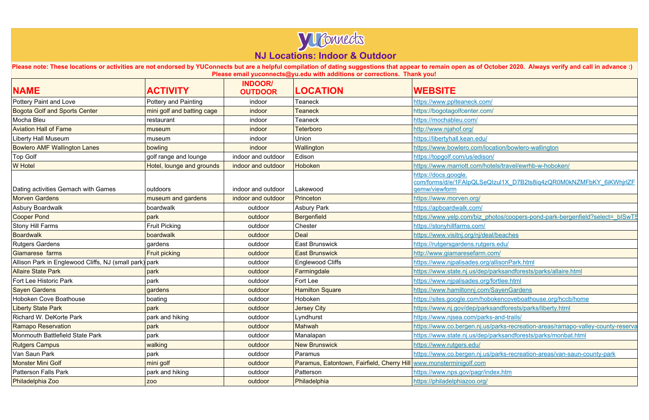

**Please note: These locations or activities are not endorsed by YUConnects but are a helpful compilation of dating suggestions that appear to remain open as of October 2020. Always verify and call in advance :) Please email yuconnects@yu.edu with additions or corrections. Thank you!**

| https://www.pplteaneck.com/                                                                                 |
|-------------------------------------------------------------------------------------------------------------|
| https://bogotagolfcenter.com/                                                                               |
| https://mochableu.com/                                                                                      |
| http://www.njahof.org/                                                                                      |
| https://libertyhall.kean.edu/                                                                               |
| https://www.bowlero.com/location/bowlero-wallington                                                         |
| https://topgolf.com/us/edison/                                                                              |
| https://www.marriott.com/hotels/travel/ewrhb-w-hoboken/                                                     |
| https://docs.google.<br>com/forms/d/e/1FAIpQLSeQIzul1X_D7B2ts8iq4zQR0M0kNZMFbKY_6iKWhjrlZF<br>qemw/viewform |
| https://www.morven.org/                                                                                     |
| https://apboardwalk.com/                                                                                    |
| https://www.yelp.com/biz_photos/coopers-pond-park-bergenfield?select=_bISwT5                                |
| https://stonyhillfarms.com/                                                                                 |
| https://www.visitnj.org/nj/deal/beaches                                                                     |
| https://rutgersgardens.rutgers.edu/                                                                         |
| http://www.giamaresefarm.com/                                                                               |
| https://www.njpalisades.org/allisonPark.html                                                                |
| https://www.state.nj.us/dep/parksandforests/parks/allaire.html                                              |
| https://www.njpalisades.org/fortlee.html                                                                    |
| https://www.hamiltonnj.com/SayenGardens                                                                     |
| https://sites.google.com/hobokencoveboathouse.org/hccb/home                                                 |
| https://www.nj.gov/dep/parksandforests/parks/liberty.html                                                   |
| https://www.njsea.com/parks-and-trails/                                                                     |
| https://www.co.bergen.nj.us/parks-recreation-areas/ramapo-valley-county-reserva                             |
| https://www.state.nj.us/dep/parksandforests/parks/monbat.html                                               |
| https://www.rutgers.edu/                                                                                    |
| https://www.co.bergen.nj.us/parks-recreation-areas/van-saun-county-park                                     |
| www.monsterminigolf.com                                                                                     |
| https://www.nps.gov/pagr/index.htm                                                                          |
| https://philadelphiazoo.org/                                                                                |
|                                                                                                             |

| <b>NAME</b>                                            | <b>ACTIVITY</b>            | <b>INDOOR/</b><br><b>OUTDOOR</b> | <b>LOCATION</b>                                                      | <b>WEBSITE</b>                                                                                              |  |
|--------------------------------------------------------|----------------------------|----------------------------------|----------------------------------------------------------------------|-------------------------------------------------------------------------------------------------------------|--|
| Pottery Paint and Love                                 | Pottery and Painting       | indoor                           | <b>Teaneck</b>                                                       | https://www.pplteaneck.com/                                                                                 |  |
| <b>Bogota Golf and Sports Center</b>                   | mini golf and batting cage | indoor                           | <b>Teaneck</b>                                                       | https://bogotagolfcenter.com/                                                                               |  |
| Mocha Bleu                                             | restaurant                 | indoor                           | <b>Teaneck</b>                                                       | https://mochableu.com/                                                                                      |  |
| <b>Aviation Hall of Fame</b>                           | museum                     | indoor                           | <b>Teterboro</b>                                                     | http://www.njahof.org/                                                                                      |  |
| Liberty Hall Museum                                    | museum                     | indoor                           | <b>Union</b>                                                         | https://libertyhall.kean.edu/                                                                               |  |
| <b>Bowlero AMF Wallington Lanes</b>                    | bowling                    | indoor                           | Wallington                                                           | https://www.bowlero.com/location/bowlero-wallington                                                         |  |
| <b>Top Golf</b>                                        | golf range and lounge      | indoor and outdoor               | Edison                                                               | https://topgolf.com/us/edison/                                                                              |  |
| <b>W</b> Hotel                                         | Hotel, lounge and grounds  | indoor and outdoor               | Hoboken                                                              | https://www.marriott.com/hotels/travel/ewrhb-w-hoboken/                                                     |  |
| Dating activities Gemach with Games                    | outdoors                   | indoor and outdoor               | Lakewood                                                             | https://docs.google.<br>com/forms/d/e/1FAIpQLSeQIzul1X_D7B2ts8iq4zQR0M0kNZMFbKY_6iKWhjrlZF<br>gemw/viewform |  |
| <b>Morven Gardens</b>                                  | museum and gardens         | indoor and outdoor               | Princeton                                                            | https://www.morven.org/                                                                                     |  |
| Asbury Boardwalk                                       | boardwalk                  | outdoor                          | <b>Asbury Park</b>                                                   | https://apboardwalk.com/                                                                                    |  |
| <b>Cooper Pond</b>                                     | park                       | outdoor                          | Bergenfield                                                          | https://www.yelp.com/biz_photos/coopers-pond-park-bergenfield?select=_bISwT5                                |  |
| Stony Hill Farms                                       | <b>Fruit Picking</b>       | outdoor                          | Chester                                                              | https://stonyhillfarms.com/                                                                                 |  |
| <b>Boardwalk</b>                                       | boardwalk                  | outdoor                          | <b>Deal</b>                                                          | https://www.visitnj.org/nj/deal/beaches                                                                     |  |
| <b>Rutgers Gardens</b>                                 | gardens                    | outdoor                          | <b>East Brunswick</b>                                                | https://rutgersgardens.rutgers.edu/                                                                         |  |
| Giamarese farms                                        | <b>Fruit picking</b>       | outdoor                          | <b>East Brunswick</b>                                                | http://www.giamaresefarm.com/                                                                               |  |
| Allison Park in Englewood Cliffs, NJ (small park) park |                            | outdoor                          | Englewood Cliffs                                                     | https://www.njpalisades.org/allisonPark.html                                                                |  |
| <b>Allaire State Park</b>                              | park                       | outdoor                          | Farmingdale                                                          | https://www.state.nj.us/dep/parksandforests/parks/allaire.html                                              |  |
| Fort Lee Historic Park                                 | park                       | outdoor                          | Fort Lee                                                             | https://www.njpalisades.org/fortlee.html                                                                    |  |
| <b>Sayen Gardens</b>                                   | gardens                    | outdoor                          | <b>Hamilton Square</b>                                               | https://www.hamiltonnj.com/SayenGardens                                                                     |  |
| Hoboken Cove Boathouse                                 | boating                    | outdoor                          | Hoboken                                                              | https://sites.google.com/hobokencoveboathouse.org/hccb/home                                                 |  |
| <b>Liberty State Park</b>                              | park                       | outdoor                          | <b>Jersey City</b>                                                   | https://www.nj.gov/dep/parksandforests/parks/liberty.html                                                   |  |
| Richard W. DeKorte Park                                | park and hiking            | outdoor                          | Lyndhurst                                                            | https://www.njsea.com/parks-and-trails/                                                                     |  |
| <b>Ramapo Reservation</b>                              | park                       | outdoor                          | Mahwah                                                               | https://www.co.bergen.nj.us/parks-recreation-areas/ramapo-valley-county-reserva                             |  |
| Monmouth Battlefield State Park                        | park                       | outdoor                          | Manalapan                                                            | https://www.state.nj.us/dep/parksandforests/parks/monbat.html                                               |  |
| <b>Rutgers Campus</b>                                  | walking                    | outdoor                          | <b>New Brunswick</b>                                                 | https://www.rutgers.edu/                                                                                    |  |
| Van Saun Park                                          | park                       | outdoor                          | Paramus                                                              | https://www.co.bergen.nj.us/parks-recreation-areas/van-saun-county-park                                     |  |
| <b>Monster Mini Golf</b>                               | mini golf                  | outdoor                          | Paramus, Eatontown, Fairfield, Cherry Hill   www.monsterminigolf.com |                                                                                                             |  |
| <b>Patterson Falls Park</b>                            | park and hiking            | outdoor                          | Patterson                                                            | https://www.nps.gov/pagr/index.htm                                                                          |  |
| Philadelphia Zoo                                       | ZOO                        | outdoor                          | Philadelphia                                                         | https://philadelphiazoo.org/                                                                                |  |